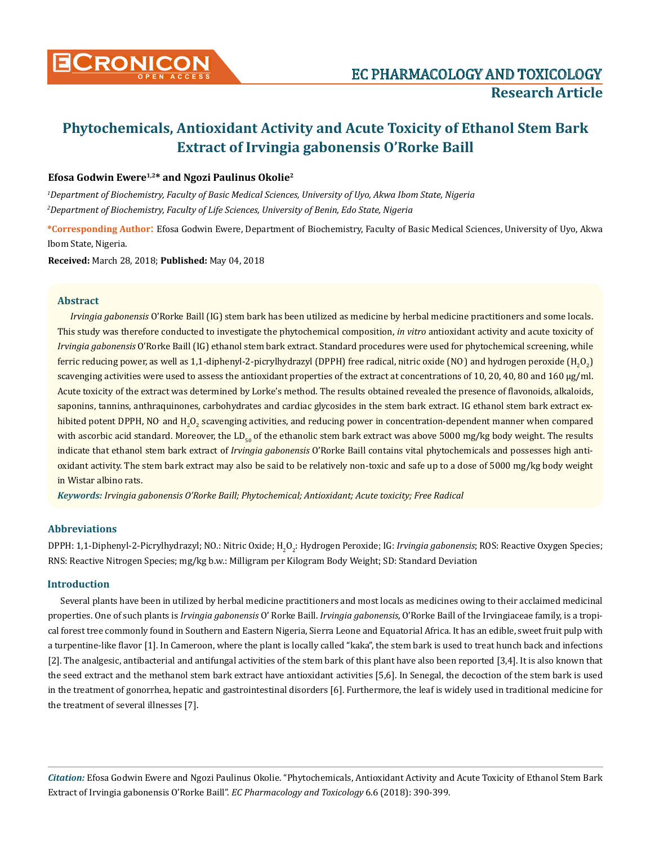

# **Phytochemicals, Antioxidant Activity and Acute Toxicity of Ethanol Stem Bark Extract of Irvingia gabonensis O'Rorke Baill**

## **Efosa Godwin Ewere1,2\* and Ngozi Paulinus Okolie2**

*1 Department of Biochemistry, Faculty of Basic Medical Sciences, University of Uyo, Akwa Ibom State, Nigeria 2 Department of Biochemistry, Faculty of Life Sciences, University of Benin, Edo State, Nigeria*

**\*Corresponding Author**: Efosa Godwin Ewere, Department of Biochemistry, Faculty of Basic Medical Sciences, University of Uyo, Akwa Ibom State, Nigeria.

**Received:** March 28, 2018; **Published:** May 04, 2018

## **Abstract**

*Irvingia gabonensis* O'Rorke Baill (IG) stem bark has been utilized as medicine by herbal medicine practitioners and some locals. This study was therefore conducted to investigate the phytochemical composition, *in vitro* antioxidant activity and acute toxicity of *Irvingia gabonensis* O'Rorke Baill (IG) ethanol stem bark extract. Standard procedures were used for phytochemical screening, while ferric reducing power, as well as 1,1-diphenyl-2-picrylhydrazyl (DPPH) free radical, nitric oxide (NO) and hydrogen peroxide (H<sub>2</sub>O<sub>2</sub>) scavenging activities were used to assess the antioxidant properties of the extract at concentrations of 10, 20, 40, 80 and 160 μg/ml. Acute toxicity of the extract was determined by Lorke's method. The results obtained revealed the presence of flavonoids, alkaloids, saponins, tannins, anthraquinones, carbohydrates and cardiac glycosides in the stem bark extract. IG ethanol stem bark extract exhibited potent DPPH, NO and H<sub>2</sub>O<sub>2</sub> scavenging activities, and reducing power in concentration-dependent manner when compared with ascorbic acid standard. Moreover, the LD $_{50}$  of the ethanolic stem bark extract was above 5000 mg/kg body weight. The results indicate that ethanol stem bark extract of *Irvingia gabonensis* O'Rorke Baill contains vital phytochemicals and possesses high antioxidant activity. The stem bark extract may also be said to be relatively non-toxic and safe up to a dose of 5000 mg/kg body weight in Wistar albino rats.

*Keywords: Irvingia gabonensis O'Rorke Baill; Phytochemical; Antioxidant; Acute toxicity; Free Radical* 

## **Abbreviations**

DPPH: 1,1-Diphenyl-2-Picrylhydrazyl; NO.: Nitric Oxide; H<sub>2</sub>O<sub>2</sub>: Hydrogen Peroxide; IG: *Irvingia gabonensis*; ROS: Reactive Oxygen Species; RNS: Reactive Nitrogen Species; mg/kg b.w.: Milligram per Kilogram Body Weight; SD: Standard Deviation

### **Introduction**

Several plants have been in utilized by herbal medicine practitioners and most locals as medicines owing to their acclaimed medicinal properties. One of such plants is *Irvingia gabonensis* O' Rorke Baill. *Irvingia gabonensis*, O'Rorke Baill of the Irvingiaceae family, is a tropical forest tree commonly found in Southern and Eastern Nigeria, Sierra Leone and Equatorial Africa. It has an edible, sweet fruit pulp with a turpentine-like flavor [1]. In Cameroon, where the plant is locally called "kaka", the stem bark is used to treat hunch back and infections [2]. The analgesic, antibacterial and antifungal activities of the stem bark of this plant have also been reported [3,4]. It is also known that the seed extract and the methanol stem bark extract have antioxidant activities [5,6]. In Senegal, the decoction of the stem bark is used in the treatment of gonorrhea, hepatic and gastrointestinal disorders [6]. Furthermore, the leaf is widely used in traditional medicine for the treatment of several illnesses [7].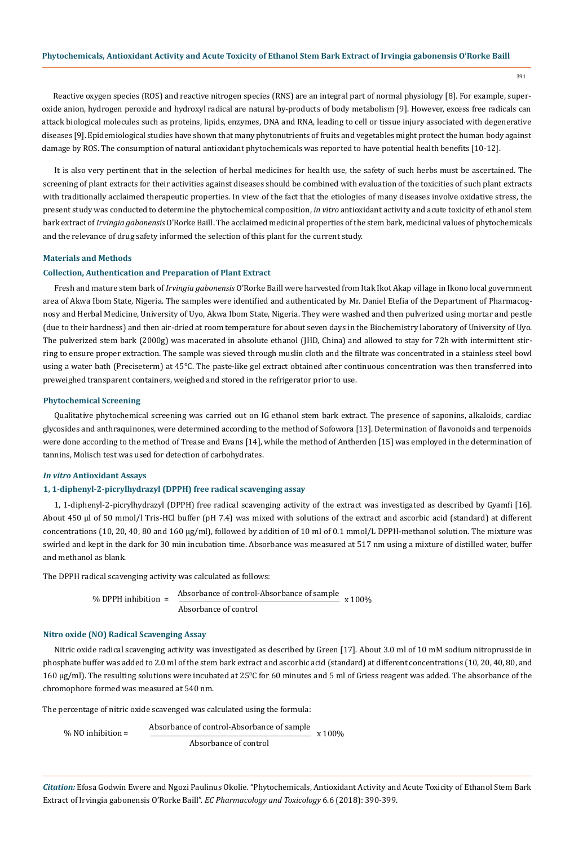Reactive oxygen species (ROS) and reactive nitrogen species (RNS) are an integral part of normal physiology [8]. For example, superoxide anion, hydrogen peroxide and hydroxyl radical are natural by-products of body metabolism [9]. However, excess free radicals can attack biological molecules such as proteins, lipids, enzymes, DNA and RNA, leading to cell or tissue injury associated with degenerative diseases [9]. Epidemiological studies have shown that many phytonutrients of fruits and vegetables might protect the human body against damage by ROS. The consumption of natural antioxidant phytochemicals was reported to have potential health benefits [10-12].

It is also very pertinent that in the selection of herbal medicines for health use, the safety of such herbs must be ascertained. The screening of plant extracts for their activities against diseases should be combined with evaluation of the toxicities of such plant extracts with traditionally acclaimed therapeutic properties. In view of the fact that the etiologies of many diseases involve oxidative stress, the present study was conducted to determine the phytochemical composition, *in vitro* antioxidant activity and acute toxicity of ethanol stem bark extract of *Irvingia gabonensis* O'Rorke Baill. The acclaimed medicinal properties of the stem bark, medicinal values of phytochemicals and the relevance of drug safety informed the selection of this plant for the current study.

## **Materials and Methods**

## **Collection, Authentication and Preparation of Plant Extract**

Fresh and mature stem bark of *Irvingia gabonensis* O'Rorke Baill were harvested from Itak Ikot Akap village in Ikono local government area of Akwa Ibom State, Nigeria. The samples were identified and authenticated by Mr. Daniel Etefia of the Department of Pharmacognosy and Herbal Medicine, University of Uyo, Akwa Ibom State, Nigeria. They were washed and then pulverized using mortar and pestle (due to their hardness) and then air-dried at room temperature for about seven days in the Biochemistry laboratory of University of Uyo. The pulverized stem bark (2000g) was macerated in absolute ethanol (JHD, China) and allowed to stay for 72h with intermittent stirring to ensure proper extraction. The sample was sieved through muslin cloth and the filtrate was concentrated in a stainless steel bowl using a water bath (Preciseterm) at 45°C. The paste-like gel extract obtained after continuous concentration was then transferred into preweighed transparent containers, weighed and stored in the refrigerator prior to use.

#### **Phytochemical Screening**

Qualitative phytochemical screening was carried out on IG ethanol stem bark extract. The presence of saponins, alkaloids, cardiac glycosides and anthraquinones, were determined according to the method of Sofowora [13]. Determination of flavonoids and terpenoids were done according to the method of Trease and Evans [14], while the method of Antherden [15] was employed in the determination of tannins, Molisch test was used for detection of carbohydrates.

#### *In vitro* **Antioxidant Assays**

#### **1, 1-diphenyl-2-picrylhydrazyl (DPPH) free radical scavenging assay**

1, 1-diphenyl-2-picrylhydrazyl (DPPH) free radical scavenging activity of the extract was investigated as described by Gyamfi [16]. About 450 µl of 50 mmol/l Tris-HCl buffer (pH 7.4) was mixed with solutions of the extract and ascorbic acid (standard) at different concentrations (10, 20, 40, 80 and 160 µg/ml), followed by addition of 10 ml of 0.1 mmol/L DPPH-methanol solution. The mixture was swirled and kept in the dark for 30 min incubation time. Absorbance was measured at 517 nm using a mixture of distilled water, buffer and methanol as blank.

 $x 100%$ 

The DPPH radical scavenging activity was calculated as follows:

$$
\% \text{ DPPH inhibition} =
$$

Absorbance of control

Absorbance of control-Absorbance of sample

## **Nitro oxide (NO) Radical Scavenging Assay**

Nitric oxide radical scavenging activity was investigated as described by Green [17]. About 3.0 ml of 10 mM sodium nitroprusside in phosphate buffer was added to 2.0 ml of the stem bark extract and ascorbic acid (standard) at different concentrations (10, 20, 40, 80, and 160 μg/ml). The resulting solutions were incubated at 25°C for 60 minutes and 5 ml of Griess reagent was added. The absorbance of the chromophore formed was measured at 540 nm.

The percentage of nitric oxide scavenged was calculated using the formula:

% NO inhibition = 
$$
\frac{\text{Absorbance of control-Absorbance of sample}}{\text{Absorbance of control}}
$$
 x 100%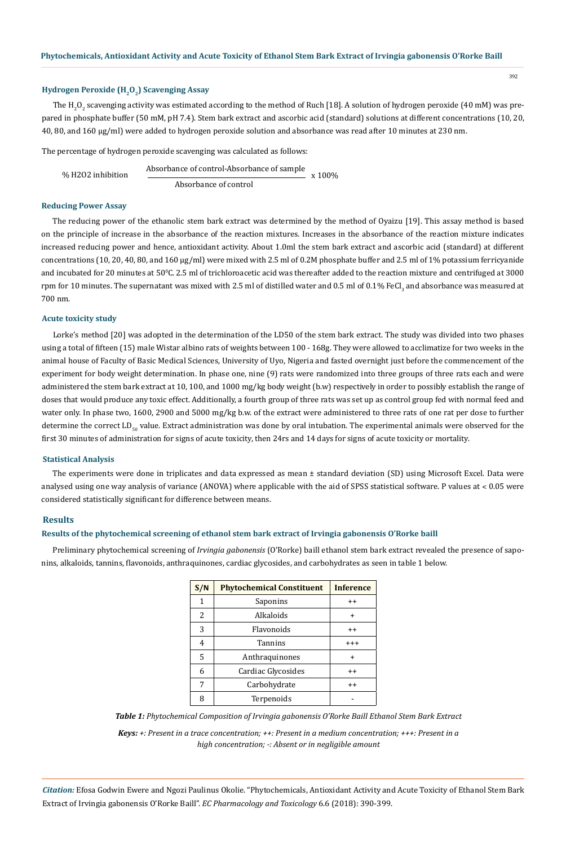## **Hydrogen Peroxide (H<sub>2</sub>O<sub>2</sub>) Scavenging Assay**

The H<sub>2</sub>O<sub>2</sub> scavenging activity was estimated according to the method of Ruch [18]. A solution of hydrogen peroxide (40 mM) was prepared in phosphate buffer (50 mM, pH 7.4). Stem bark extract and ascorbic acid (standard) solutions at different concentrations (10, 20, 40, 80, and 160 µg/ml) were added to hydrogen peroxide solution and absorbance was read after 10 minutes at 230 nm.

The percentage of hydrogen peroxide scavenging was calculated as follows:

% H2O2 inhibition Absorbance of control-Absorbance of sample Absorbance of control x 100%

## **Reducing Power Assay**

The reducing power of the ethanolic stem bark extract was determined by the method of Oyaizu [19]. This assay method is based on the principle of increase in the absorbance of the reaction mixtures. Increases in the absorbance of the reaction mixture indicates increased reducing power and hence, antioxidant activity. About 1.0ml the stem bark extract and ascorbic acid (standard) at different concentrations (10, 20, 40, 80, and 160 µg/ml) were mixed with 2.5 ml of 0.2M phosphate buffer and 2.5 ml of 1% potassium ferricyanide and incubated for 20 minutes at  $50^{\circ}$ C. 2.5 ml of trichloroacetic acid was thereafter added to the reaction mixture and centrifuged at 3000  $\,$ rpm for 10 minutes. The supernatant was mixed with 2.5 ml of distilled water and 0.5 ml of 0.1% FeCl<sub>3</sub> and absorbance was measured at 700 nm.

## **Acute toxicity study**

Lorke's method [20] was adopted in the determination of the LD50 of the stem bark extract. The study was divided into two phases using a total of fifteen (15) male Wistar albino rats of weights between 100 - 168g. They were allowed to acclimatize for two weeks in the animal house of Faculty of Basic Medical Sciences, University of Uyo, Nigeria and fasted overnight just before the commencement of the experiment for body weight determination. In phase one, nine (9) rats were randomized into three groups of three rats each and were administered the stem bark extract at 10, 100, and 1000 mg/kg body weight (b.w) respectively in order to possibly establish the range of doses that would produce any toxic effect. Additionally, a fourth group of three rats was set up as control group fed with normal feed and water only. In phase two, 1600, 2900 and 5000 mg/kg b.w. of the extract were administered to three rats of one rat per dose to further determine the correct  $LD_{50}$  value. Extract administration was done by oral intubation. The experimental animals were observed for the first 30 minutes of administration for signs of acute toxicity, then 24rs and 14 days for signs of acute toxicity or mortality.

#### **Statistical Analysis**

The experiments were done in triplicates and data expressed as mean ± standard deviation (SD) using Microsoft Excel. Data were analysed using one way analysis of variance (ANOVA) where applicable with the aid of SPSS statistical software. P values at ˂ 0.05 were considered statistically significant for difference between means.

#### **Results**

## **Results of the phytochemical screening of ethanol stem bark extract of Irvingia gabonensis O'Rorke baill**

Preliminary phytochemical screening of *Irvingia gabonensis* (O'Rorke) baill ethanol stem bark extract revealed the presence of saponins, alkaloids, tannins, flavonoids, anthraquinones, cardiac glycosides, and carbohydrates as seen in table 1 below.

|   | S/N                               | <b>Phytochemical Constituent</b> | <b>Inference</b> |  |
|---|-----------------------------------|----------------------------------|------------------|--|
| 1 |                                   | Saponins                         | $^{\mathrm{+}}$  |  |
|   | 2<br>Alkaloids<br>3<br>Flavonoids |                                  | $\ddot{}$        |  |
|   |                                   |                                  | $^{++}$          |  |
|   | 4                                 | Tannins                          | $^{++}$          |  |
|   | 5<br>Anthraquinones               |                                  | +                |  |
|   | 6<br>Cardiac Glycosides           |                                  | $^{\mathrm{+}}$  |  |
|   | 7<br>Carbohydrate                 |                                  | $^{++}$          |  |
|   | 8<br>Terpenoids                   |                                  |                  |  |

*Table 1: Phytochemical Composition of Irvingia gabonensis O'Rorke Baill Ethanol Stem Bark Extract*

*Keys: +: Present in a trace concentration; ++: Present in a medium concentration; +++: Present in a high concentration; -: Absent or in negligible amount*

*Citation:* Efosa Godwin Ewere and Ngozi Paulinus Okolie. "Phytochemicals, Antioxidant Activity and Acute Toxicity of Ethanol Stem Bark Extract of Irvingia gabonensis O'Rorke Baill". *EC Pharmacology and Toxicology* 6.6 (2018): 390-399.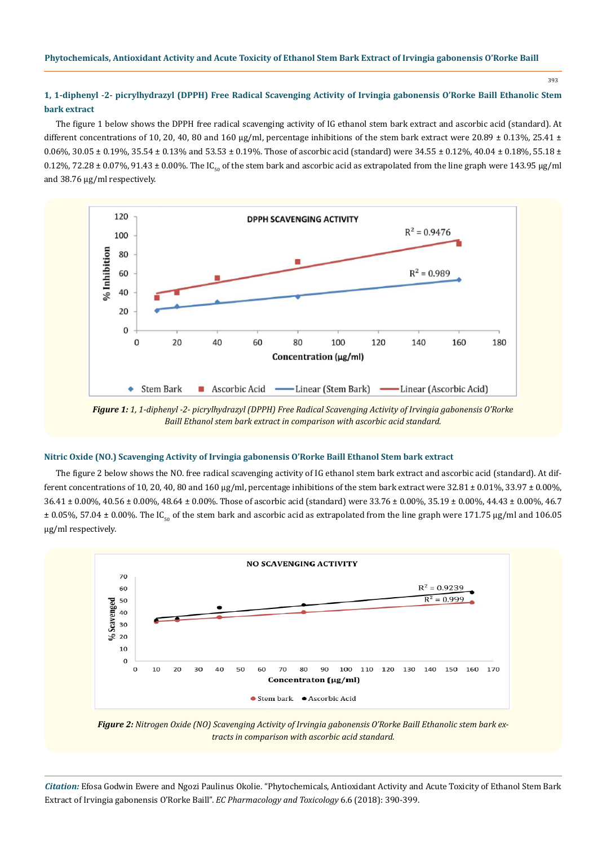## **1, 1-diphenyl -2- picrylhydrazyl (DPPH) Free Radical Scavenging Activity of Irvingia gabonensis O'Rorke Baill Ethanolic Stem bark extract**

The figure 1 below shows the DPPH free radical scavenging activity of IG ethanol stem bark extract and ascorbic acid (standard). At different concentrations of 10, 20, 40, 80 and 160  $\mu$ g/ml, percentage inhibitions of the stem bark extract were 20.89  $\pm$  0.13%, 25.41  $\pm$ 0.06%, 30.05  $\pm$  0.19%, 35.54  $\pm$  0.13% and 53.53  $\pm$  0.19%. Those of ascorbic acid (standard) were 34.55  $\pm$  0.12%, 40.04  $\pm$  0.18%, 55.18  $\pm$ 0.12%, 72.28  $\pm$  0.07%, 91.43  $\pm$  0.00%. The IC<sub>50</sub> of the stem bark and ascorbic acid as extrapolated from the line graph were 143.95 µg/ml and 38.76 µg/ml respectively.



*Figure 1: 1, 1-diphenyl -2- picrylhydrazyl (DPPH) Free Radical Scavenging Activity of Irvingia gabonensis O'Rorke Baill Ethanol stem bark extract in comparison with ascorbic acid standard.*

## **Nitric Oxide (NO.) Scavenging Activity of Irvingia gabonensis O'Rorke Baill Ethanol Stem bark extract**

The figure 2 below shows the NO. free radical scavenging activity of IG ethanol stem bark extract and ascorbic acid (standard). At different concentrations of 10, 20, 40, 80 and 160  $\mu$ g/ml, percentage inhibitions of the stem bark extract were 32.81  $\pm$  0.01%, 33.97  $\pm$  0.00%,  $36.41 \pm 0.00\%$ ,  $40.56 \pm 0.00\%$ ,  $48.64 \pm 0.00\%$ . Those of ascorbic acid (standard) were  $33.76 \pm 0.00\%$ ,  $35.19 \pm 0.00\%$ ,  $44.43 \pm 0.00\%$ ,  $46.7$  $\pm$  0.05%, 57.04  $\pm$  0.00%. The IC<sub>50</sub> of the stem bark and ascorbic acid as extrapolated from the line graph were 171.75 µg/ml and 106.05 µg/ml respectively.



*Figure 2: Nitrogen Oxide (NO) Scavenging Activity of Irvingia gabonensis O'Rorke Baill Ethanolic stem bark extracts in comparison with ascorbic acid standard.*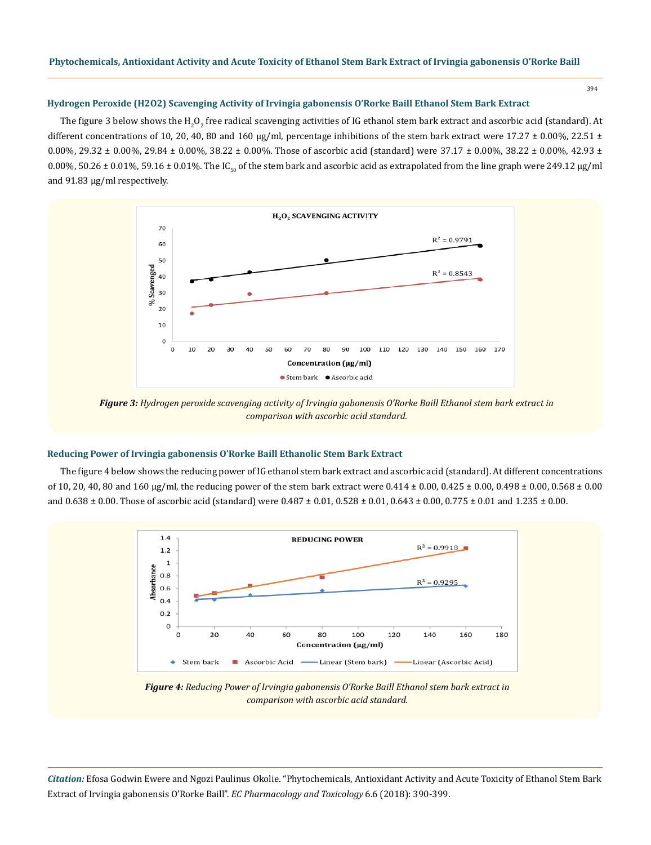#### **Hydrogen Peroxide (H2O2) Scavenging Activity of Irvingia gabonensis O'Rorke Baill Ethanol Stem Bark Extract**

The figure 3 below shows the H<sub>2</sub>O<sub>2</sub> free radical scavenging activities of IG ethanol stem bark extract and ascorbic acid (standard). At different concentrations of 10, 20, 40, 80 and 160 µg/ml, percentage inhibitions of the stem bark extract were 17.27  $\pm$  0.00%, 22.51  $\pm$ 0.00%, 29.32  $\pm$  0.00%, 29.84  $\pm$  0.00%, 38.22  $\pm$  0.00%. Those of ascorbic acid (standard) were 37.17  $\pm$  0.00%, 38.22  $\pm$  0.00%, 42.93  $\pm$ 0.00%, 50.26  $\pm$  0.01%, 59.16  $\pm$  0.01%. The IC<sub>50</sub> of the stem bark and ascorbic acid as extrapolated from the line graph were 249.12 µg/ml and 91.83 µg/ml respectively.



*Figure 3: Hydrogen peroxide scavenging activity of Irvingia gabonensis O'Rorke Baill Ethanol stem bark extract in comparison with ascorbic acid standard.*

## **Reducing Power of Irvingia gabonensis O'Rorke Baill Ethanolic Stem Bark Extract**

The figure 4 below shows the reducing power of IG ethanol stem bark extract and ascorbic acid (standard). At different concentrations of 10, 20, 40, 80 and 160 µg/ml, the reducing power of the stem bark extract were  $0.414 \pm 0.00$ ,  $0.425 \pm 0.00$ ,  $0.498 \pm 0.00$ ,  $0.568 \pm 0.00$ and  $0.638 \pm 0.00$ . Those of ascorbic acid (standard) were  $0.487 \pm 0.01$ ,  $0.528 \pm 0.01$ ,  $0.643 \pm 0.00$ ,  $0.775 \pm 0.01$  and  $1.235 \pm 0.00$ .



*Figure 4: Reducing Power of Irvingia gabonensis O'Rorke Baill Ethanol stem bark extract in comparison with ascorbic acid standard.*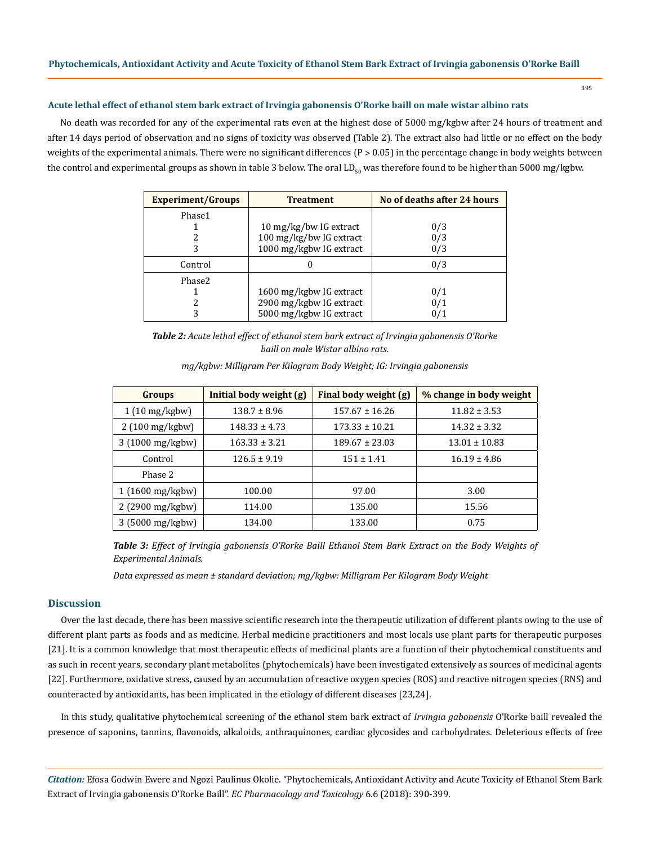## **Acute lethal effect of ethanol stem bark extract of Irvingia gabonensis O'Rorke baill on male wistar albino rats**

No death was recorded for any of the experimental rats even at the highest dose of 5000 mg/kgbw after 24 hours of treatment and after 14 days period of observation and no signs of toxicity was observed (Table 2). The extract also had little or no effect on the body weights of the experimental animals. There were no significant differences  $(P > 0.05)$  in the percentage change in body weights between the control and experimental groups as shown in table 3 below. The oral  $LD_{\epsilon_0}$  was therefore found to be higher than 5000 mg/kgbw.

| <b>Experiment/Groups</b> | <b>Treatment</b>        | No of deaths after 24 hours |  |
|--------------------------|-------------------------|-----------------------------|--|
| Phase1                   |                         |                             |  |
|                          | 10 mg/kg/bw IG extract  | 0/3                         |  |
|                          | 100 mg/kg/bw IG extract | 0/3                         |  |
| 3                        | 1000 mg/kgbw IG extract | 0/3                         |  |
| Control                  |                         | 0/3                         |  |
| Phase2                   |                         |                             |  |
|                          | 1600 mg/kgbw IG extract | 0/1                         |  |
|                          | 2900 mg/kgbw IG extract | 0/1                         |  |
| 3                        | 5000 mg/kgbw IG extract | 0/1                         |  |

*Table 2: Acute lethal effect of ethanol stem bark extract of Irvingia gabonensis O'Rorke baill on male Wistar albino rats.*

| <b>Groups</b>             | Initial body weight (g) | Final body weight (g) | % change in body weight |
|---------------------------|-------------------------|-----------------------|-------------------------|
| $1(10 \text{ mg/kgbw})$   | $138.7 \pm 8.96$        | $157.67 \pm 16.26$    | $11.82 \pm 3.53$        |
| $2(100 \text{ mg/kgbw})$  | $148.33 \pm 4.73$       | $173.33 \pm 10.21$    | $14.32 \pm 3.32$        |
| 3 (1000 mg/kgbw)          | $163.33 \pm 3.21$       | $189.67 \pm 23.03$    | $13.01 \pm 10.83$       |
| Control                   | $126.5 \pm 9.19$        | $151 \pm 1.41$        | $16.19 \pm 4.86$        |
| Phase 2                   |                         |                       |                         |
| $1(1600 \text{ mg/kg}$    | 100.00                  | 97.00                 | 3.00                    |
| 2 (2900 mg/kgbw)          | 114.00                  | 135.00                | 15.56                   |
| $3(5000 \text{ mg/kgbw})$ | 134.00                  | 133.00                | 0.75                    |

*mg/kgbw: Milligram Per Kilogram Body Weight; IG: Irvingia gabonensis*

*Table 3: Effect of Irvingia gabonensis O'Rorke Baill Ethanol Stem Bark Extract on the Body Weights of Experimental Animals.*

*Data expressed as mean ± standard deviation; mg/kgbw: Milligram Per Kilogram Body Weight*

#### **Discussion**

Over the last decade, there has been massive scientific research into the therapeutic utilization of different plants owing to the use of different plant parts as foods and as medicine. Herbal medicine practitioners and most locals use plant parts for therapeutic purposes [21]. It is a common knowledge that most therapeutic effects of medicinal plants are a function of their phytochemical constituents and as such in recent years, secondary plant metabolites (phytochemicals) have been investigated extensively as sources of medicinal agents [22]. Furthermore, oxidative stress, caused by an accumulation of reactive oxygen species (ROS) and reactive nitrogen species (RNS) and counteracted by antioxidants, has been implicated in the etiology of different diseases [23,24].

In this study, qualitative phytochemical screening of the ethanol stem bark extract of *Irvingia gabonensis* O'Rorke baill revealed the presence of saponins, tannins, flavonoids, alkaloids, anthraquinones, cardiac glycosides and carbohydrates. Deleterious effects of free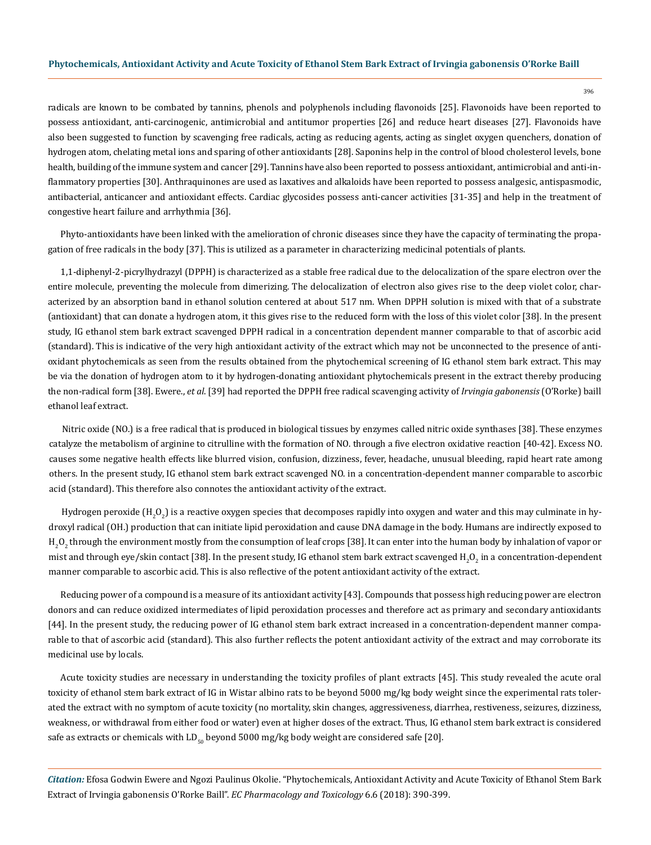radicals are known to be combated by tannins, phenols and polyphenols including flavonoids [25]. Flavonoids have been reported to possess antioxidant, anti-carcinogenic, antimicrobial and antitumor properties [26] and reduce heart diseases [27]. Flavonoids have also been suggested to function by scavenging free radicals, acting as reducing agents, acting as singlet oxygen quenchers, donation of hydrogen atom, chelating metal ions and sparing of other antioxidants [28]. Saponins help in the control of blood cholesterol levels, bone health, building of the immune system and cancer [29]. Tannins have also been reported to possess antioxidant, antimicrobial and anti-inflammatory properties [30]. Anthraquinones are used as laxatives and alkaloids have been reported to possess analgesic, antispasmodic, antibacterial, anticancer and antioxidant effects. Cardiac glycosides possess anti-cancer activities [31-35] and help in the treatment of congestive heart failure and arrhythmia [36].

Phyto-antioxidants have been linked with the amelioration of chronic diseases since they have the capacity of terminating the propagation of free radicals in the body [37]. This is utilized as a parameter in characterizing medicinal potentials of plants.

1,1-diphenyl-2-picrylhydrazyl (DPPH) is characterized as a stable free radical due to the delocalization of the spare electron over the entire molecule, preventing the molecule from dimerizing. The delocalization of electron also gives rise to the deep violet color, characterized by an absorption band in ethanol solution centered at about 517 nm. When DPPH solution is mixed with that of a substrate (antioxidant) that can donate a hydrogen atom, it this gives rise to the reduced form with the loss of this violet color [38]. In the present study, IG ethanol stem bark extract scavenged DPPH radical in a concentration dependent manner comparable to that of ascorbic acid (standard). This is indicative of the very high antioxidant activity of the extract which may not be unconnected to the presence of antioxidant phytochemicals as seen from the results obtained from the phytochemical screening of IG ethanol stem bark extract. This may be via the donation of hydrogen atom to it by hydrogen-donating antioxidant phytochemicals present in the extract thereby producing the non-radical form [38]. Ewere., *et al*. [39] had reported the DPPH free radical scavenging activity of *Irvingia gabonensis* (O'Rorke) baill ethanol leaf extract.

Nitric oxide (NO.) is a free radical that is produced in biological tissues by enzymes called nitric oxide synthases [38]. These enzymes catalyze the metabolism of arginine to citrulline with the formation of NO. through a five electron oxidative reaction [40-42]. Excess NO. causes some negative health effects like blurred vision, confusion, dizziness, fever, headache, unusual bleeding, rapid heart rate among others. In the present study, IG ethanol stem bark extract scavenged NO. in a concentration-dependent manner comparable to ascorbic acid (standard). This therefore also connotes the antioxidant activity of the extract.

Hydrogen peroxide (H<sub>2</sub>O<sub>2</sub>) is a reactive oxygen species that decomposes rapidly into oxygen and water and this may culminate in hydroxyl radical (OH.) production that can initiate lipid peroxidation and cause DNA damage in the body. Humans are indirectly exposed to  $\rm H_2O_2$  through the environment mostly from the consumption of leaf crops [38]. It can enter into the human body by inhalation of vapor or mist and through eye/skin contact [38]. In the present study, IG ethanol stem bark extract scavenged  ${\rm H_2O_2}$  in a concentration-dependent manner comparable to ascorbic acid. This is also reflective of the potent antioxidant activity of the extract.

Reducing power of a compound is a measure of its antioxidant activity [43]. Compounds that possess high reducing power are electron donors and can reduce oxidized intermediates of lipid peroxidation processes and therefore act as primary and secondary antioxidants [44]. In the present study, the reducing power of IG ethanol stem bark extract increased in a concentration-dependent manner comparable to that of ascorbic acid (standard). This also further reflects the potent antioxidant activity of the extract and may corroborate its medicinal use by locals.

Acute toxicity studies are necessary in understanding the toxicity profiles of plant extracts [45]. This study revealed the acute oral toxicity of ethanol stem bark extract of IG in Wistar albino rats to be beyond 5000 mg/kg body weight since the experimental rats tolerated the extract with no symptom of acute toxicity (no mortality, skin changes, aggressiveness, diarrhea, restiveness, seizures, dizziness, weakness, or withdrawal from either food or water) even at higher doses of the extract. Thus, IG ethanol stem bark extract is considered safe as extracts or chemicals with  $LD_{50}$  beyond 5000 mg/kg body weight are considered safe [20].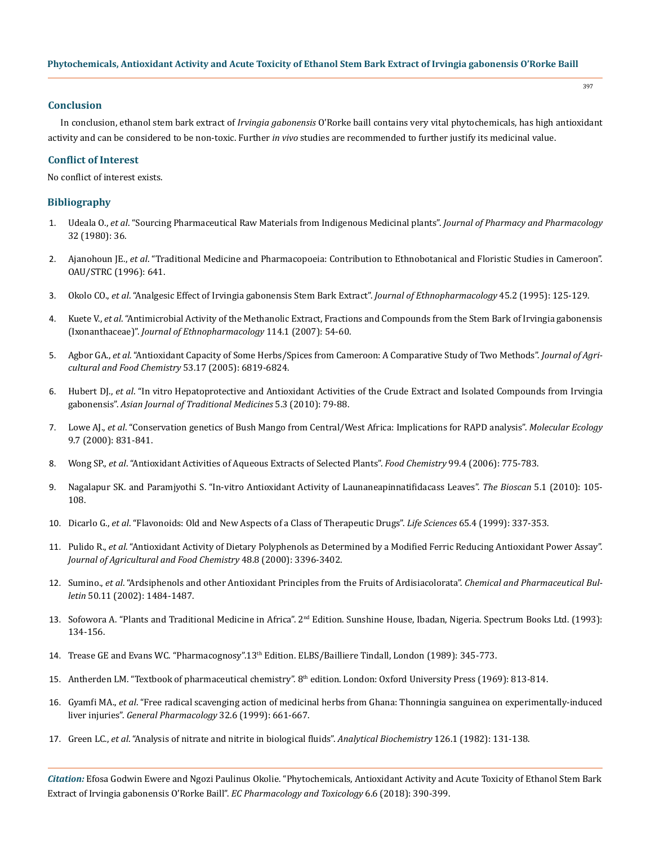## **Conclusion**

In conclusion, ethanol stem bark extract of *Irvingia gabonensis* O'Rorke baill contains very vital phytochemicals, has high antioxidant activity and can be considered to be non-toxic. Further *in vivo* studies are recommended to further justify its medicinal value.

## **Conflict of Interest**

No conflict of interest exists.

## **Bibliography**

- 1. Udeala O., *et al*. "Sourcing Pharmaceutical Raw Materials from Indigenous Medicinal plants". *Journal of Pharmacy and Pharmacology* 32 (1980): 36.
- 2. Ajanohoun JE., *et al*. "Traditional Medicine and Pharmacopoeia: Contribution to Ethnobotanical and Floristic Studies in Cameroon". OAU/STRC (1996): 641.
- 3. Okolo CO., *et al*[. "Analgesic Effect of Irvingia gabonensis Stem Bark Extract".](https://www.ncbi.nlm.nih.gov/pubmed/7776661) *Journal of Ethnopharmacology* 45.2 (1995): 125-129.
- 4. Kuete V., *et al*[. "Antimicrobial Activity of the Methanolic Extract, Fractions and Compounds from the Stem Bark of Irvingia gabonensis](https://www.ncbi.nlm.nih.gov/pubmed/17766070)  (Ixonanthaceae)". *[Journal of Ethnopharmacology](https://www.ncbi.nlm.nih.gov/pubmed/17766070)* 114.1 (2007): 54-60.
- 5. Agbor GA., *et al*[. "Antioxidant Capacity of Some Herbs/Spices from Cameroon: A Comparative Study of Two Methods".](https://www.ncbi.nlm.nih.gov/pubmed/16104805) *Journal of Agri[cultural and Food Chemistry](https://www.ncbi.nlm.nih.gov/pubmed/16104805)* 53.17 (2005): 6819-6824.
- 6. Hubert DJ., *et al*[. "In vitro Hepatoprotective and Antioxidant Activities of the Crude Extract and Isolated Compounds from Irvingia](https://www.researchgate.net/publication/256292631_In_vitro_hepatoprotective_and_antioxidant_activities_of_the_crude_extract_and_isolated_compounds_from_Irvingia_gabonensis)  gabonensis". *[Asian Journal of Traditional Medicines](https://www.researchgate.net/publication/256292631_In_vitro_hepatoprotective_and_antioxidant_activities_of_the_crude_extract_and_isolated_compounds_from_Irvingia_gabonensis)* 5.3 (2010): 79-88.
- 7. Lowe AJ., *et al*[. "Conservation genetics of Bush Mango from Central/West Africa: Implications for RAPD analysis".](https://onlinelibrary.wiley.com/doi/abs/10.1046/j.1365-294x.2000.00936.x) *Molecular Ecology*  [9.7 \(2000\): 831-841.](https://onlinelibrary.wiley.com/doi/abs/10.1046/j.1365-294x.2000.00936.x)
- 8. Wong SP., *et al*[. "Antioxidant Activities of Aqueous Extracts of Selected Plants".](https://www.sciencedirect.com/science/article/pii/S0308814605007612) *Food Chemistry* 99.4 (2006): 775-783.
- 9. Nagalapur SK. and Paramjyothi S. "In-vitro Antioxidant Activity of Launaneapinnatifidacass Leaves". *The Bioscan* 5.1 (2010): 105- 108.
- 10. Dicarlo G., *et al*[. "Flavonoids: Old and New Aspects of a Class of Therapeutic Drugs".](https://www.ncbi.nlm.nih.gov/pubmed/10421421) *Life Sciences* 65.4 (1999): 337-353.
- 11. Pulido R., *et al*[. "Antioxidant Activity of Dietary Polyphenols as Determined by a Modified Ferric Reducing Antioxidant Power Assay".](https://www.ncbi.nlm.nih.gov/pubmed/10956123) *[Journal of Agricultural and Food Chemistry](https://www.ncbi.nlm.nih.gov/pubmed/10956123)* 48.8 (2000): 3396-3402.
- 12. Sumino., *et al*[. "Ardsiphenols and other Antioxidant Principles from the Fruits of Ardisiacolorata".](https://www.ncbi.nlm.nih.gov/pubmed/12419914) *Chemical and Pharmaceutical Bulletin* [50.11 \(2002\): 1484-1487.](https://www.ncbi.nlm.nih.gov/pubmed/12419914)
- 13. Sofowora A. "Plants and Traditional Medicine in Africa". 2nd Edition. Sunshine House, Ibadan, Nigeria. Spectrum Books Ltd. (1993): 134-156.
- 14. Trease GE and Evans WC. "Pharmacognosy".13th Edition. ELBS/Bailliere Tindall, London (1989): 345-773.
- 15. Antherden LM. "Textbook of pharmaceutical chemistry". 8th edition. London: Oxford University Press (1969): 813-814.
- 16. Gyamfi MA., *et al*[. "Free radical scavenging action of medicinal herbs from Ghana: Thonningia sanguinea on experimentally-induced](https://www.ncbi.nlm.nih.gov/pubmed/10401991)  liver injuries". *[General Pharmacology](https://www.ncbi.nlm.nih.gov/pubmed/10401991)* 32.6 (1999): 661-667.
- 17. Green LC., *et al*[. "Analysis of nitrate and nitrite in biological fluids".](https://www.ncbi.nlm.nih.gov/pubmed/7181105) *Analytical Biochemistry* 126.1 (1982): 131-138.

*Citation:* Efosa Godwin Ewere and Ngozi Paulinus Okolie. "Phytochemicals, Antioxidant Activity and Acute Toxicity of Ethanol Stem Bark Extract of Irvingia gabonensis O'Rorke Baill". *EC Pharmacology and Toxicology* 6.6 (2018): 390-399.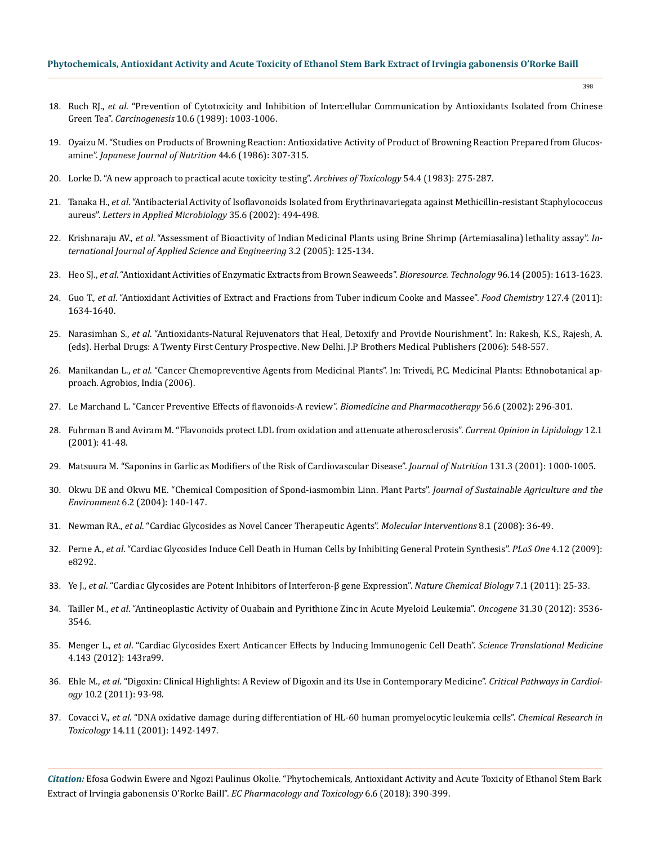## **Phytochemicals, Antioxidant Activity and Acute Toxicity of Ethanol Stem Bark Extract of Irvingia gabonensis O'Rorke Baill**

- 18. Ruch RJ., *et al*[. "Prevention of Cytotoxicity and Inhibition of Intercellular Communication by Antioxidants Isolated from Chinese](https://www.ncbi.nlm.nih.gov/pubmed/2470525)  Green Tea". *Carcinogenesis* [10.6 \(1989\): 1003-1006.](https://www.ncbi.nlm.nih.gov/pubmed/2470525)
- 19. [Oyaizu M. "Studies on Products of Browning Reaction: Antioxidative Activity of Product of Browning Reaction Prepared from Glucos](https://www.jstage.jst.go.jp/article/eiyogakuzashi1941/44/6/44_6_307/_article)amine". *[Japanese Journal of Nutrition](https://www.jstage.jst.go.jp/article/eiyogakuzashi1941/44/6/44_6_307/_article)* 44.6 (1986): 307-315.
- 20. [Lorke D. "A new approach to practical acute toxicity testing".](https://www.ncbi.nlm.nih.gov/pubmed/6667118) *Archives of Toxicology* 54.4 (1983): 275-287.
- 21. Tanaka H., *et al*[. "Antibacterial Activity of Isoflavonoids Isolated from Erythrinavariegata against Methicillin-resistant Staphylococcus](https://www.ncbi.nlm.nih.gov/pubmed/12460431)  aureus". *[Letters in Applied Microbiology](https://www.ncbi.nlm.nih.gov/pubmed/12460431)* 35.6 (2002): 494-498.
- 22. Krishnaraju AV., *et al*[. "Assessment of Bioactivity of Indian Medicinal Plants using Brine Shrimp \(Artemiasalina\) lethality assay".](https://pdfs.semanticscholar.org/0e66/b357eed27d47d7554b6f6ed52035f89a59ce.pdf) *In[ternational Journal of Applied Science and Engineering](https://pdfs.semanticscholar.org/0e66/b357eed27d47d7554b6f6ed52035f89a59ce.pdf)* 3.2 (2005): 125-134.
- 23. Heo SJ., *et al*[. "Antioxidant Activities of Enzymatic Extracts from Brown Seaweeds".](https://www.ncbi.nlm.nih.gov/pubmed/15978995) *Bioresource. Technology* 96.14 (2005): 1613-1623.
- 24. Guo T., *et al*[. "Antioxidant Activities of Extract and Fractions from Tuber indicum Cooke and Massee".](https://www.sciencedirect.com/science/article/pii/S0308814611002871) *Food Chemistry* 127.4 (2011): [1634-1640.](https://www.sciencedirect.com/science/article/pii/S0308814611002871)
- 25. Narasimhan S., *et al*. "Antioxidants-Natural Rejuvenators that Heal, Detoxify and Provide Nourishment". In: Rakesh, K.S., Rajesh, A. (eds). Herbal Drugs: A Twenty First Century Prospective. New Delhi. J.P Brothers Medical Publishers (2006): 548-557.
- 26. Manikandan L., *et al*. "Cancer Chemopreventive Agents from Medicinal Plants". In: Trivedi, P.C. Medicinal Plants: Ethnobotanical approach. Agrobios, India (2006).
- 27. [Le Marchand L. "Cancer Preventive Effects of flavonoids-A review".](https://www.ncbi.nlm.nih.gov/pubmed/12224601) *Biomedicine and Pharmacotherapy* 56.6 (2002): 296-301.
- 28. [Fuhrman B and Aviram M. "Flavonoids protect LDL from oxidation and attenuate atherosclerosis".](https://www.ncbi.nlm.nih.gov/pubmed/11176202) *Current Opinion in Lipidology* 12.1 [\(2001\): 41-48.](https://www.ncbi.nlm.nih.gov/pubmed/11176202)
- 29. [Matsuura M. "Saponins in Garlic as Modifiers of the Risk of Cardiovascular Disease".](https://www.ncbi.nlm.nih.gov/pubmed/11238805) *Journal of Nutrition* 131.3 (2001): 1000-1005.
- 30. [Okwu DE and Okwu ME. "Chemical Composition of Spond-iasmombin Linn. Plant Parts".](https://www.researchgate.net/publication/285751974_Chemical_composition_of_Spondias_mombin_Linn_plants_parts) *Journal of Sustainable Agriculture and the Environment* [6.2 \(2004\): 140-147.](https://www.researchgate.net/publication/285751974_Chemical_composition_of_Spondias_mombin_Linn_plants_parts)
- 31. Newman RA., *et al*[. "Cardiac Glycosides as Novel Cancer Therapeutic Agents".](https://www.ncbi.nlm.nih.gov/pubmed/18332483) *Molecular Interventions* 8.1 (2008): 36-49.
- 32. Perne A., *et al*[. "Cardiac Glycosides Induce Cell Death in Human Cells by Inhibiting General Protein Synthesis".](https://www.ncbi.nlm.nih.gov/pubmed/20016840) *PLoS One* 4.12 (2009): [e8292.](https://www.ncbi.nlm.nih.gov/pubmed/20016840)
- 33. Ye J., *et al*[. "Cardiac Glycosides are Potent Inhibitors of Interferon-β gene Expression".](https://www.ncbi.nlm.nih.gov/pubmed/21076398) *Nature Chemical Biology* 7.1 (2011): 25-33.
- 34. Tailler M., *et al*[. "Antineoplastic Activity of Ouabain and Pyrithione Zinc in Acute Myeloid Leukemia".](https://www.ncbi.nlm.nih.gov/pubmed/22105358) *Oncogene* 31.30 (2012): 3536- [3546.](https://www.ncbi.nlm.nih.gov/pubmed/22105358)
- 35. Menger L., *et al*[. "Cardiac Glycosides Exert Anticancer Effects by Inducing Immunogenic Cell Death".](https://www.ncbi.nlm.nih.gov/pubmed/22814852) *Science Translational Medicine* [4.143 \(2012\): 143ra99.](https://www.ncbi.nlm.nih.gov/pubmed/22814852)
- 36. Ehle M., *et al*[. "Digoxin: Clinical Highlights: A Review of Digoxin and its Use in Contemporary Medicine".](https://www.ncbi.nlm.nih.gov/pubmed/21988950) *Critical Pathways in Cardiology* [10.2 \(2011\): 93-98.](https://www.ncbi.nlm.nih.gov/pubmed/21988950)
- 37. Covacci V., *et al*[. "DNA oxidative damage during differentiation of HL-60 human promyelocytic leukemia cells".](https://www.ncbi.nlm.nih.gov/pubmed/11712906) *Chemical Research in Toxicology* [14.11 \(2001\): 1492-1497.](https://www.ncbi.nlm.nih.gov/pubmed/11712906)

*Citation:* Efosa Godwin Ewere and Ngozi Paulinus Okolie. "Phytochemicals, Antioxidant Activity and Acute Toxicity of Ethanol Stem Bark Extract of Irvingia gabonensis O'Rorke Baill". *EC Pharmacology and Toxicology* 6.6 (2018): 390-399.